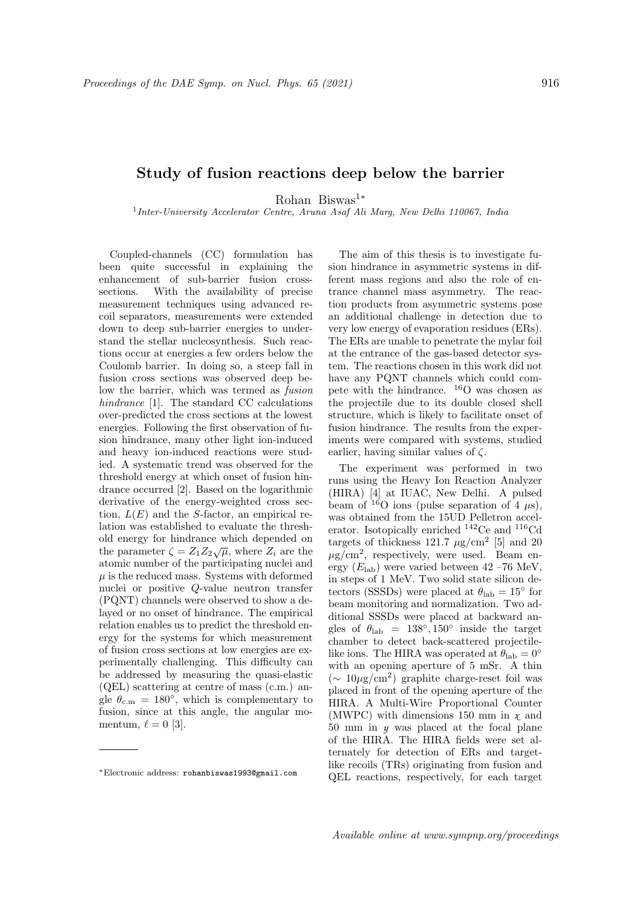## Study of fusion reactions deep below the barrier

Rohan Biswas<sup>1</sup><sup>∗</sup>

<sup>1</sup> Inter-University Accelerator Centre, Aruna Asaf Ali Marg, New Delhi 110067, India

Coupled-channels (CC) formulation has been quite successful in explaining the enhancement of sub-barrier fusion crosssections. With the availability of precise measurement techniques using advanced recoil separators, measurements were extended down to deep sub-barrier energies to understand the stellar nucleosynthesis. Such reactions occur at energies a few orders below the Coulomb barrier. In doing so, a steep fall in fusion cross sections was observed deep below the barrier, which was termed as fusion hindrance [1]. The standard CC calculations over-predicted the cross sections at the lowest energies. Following the first observation of fusion hindrance, many other light ion-induced and heavy ion-induced reactions were studied. A systematic trend was observed for the threshold energy at which onset of fusion hindrance occurred [2]. Based on the logarithmic derivative of the energy-weighted cross section,  $L(E)$  and the S-factor, an empirical relation was established to evaluate the threshold energy for hindrance which depended on the parameter  $\zeta = Z_1 Z_2 \sqrt{\mu}$ , where  $Z_i$  are the atomic number of the participating nuclei and  $\mu$  is the reduced mass. Systems with deformed nuclei or positive Q-value neutron transfer (PQNT) channels were observed to show a delayed or no onset of hindrance. The empirical relation enables us to predict the threshold energy for the systems for which measurement of fusion cross sections at low energies are experimentally challenging. This difficulty can be addressed by measuring the quasi-elastic (QEL) scattering at centre of mass (c.m.) angle  $\theta_{\rm c.m.} = 180^{\circ}$ , which is complementary to fusion, since at this angle, the angular momentum,  $\ell = 0$  [3].

The aim of this thesis is to investigate fusion hindrance in asymmetric systems in different mass regions and also the role of entrance channel mass asymmetry. The reaction products from asymmetric systems pose an additional challenge in detection due to very low energy of evaporation residues (ERs). The ERs are unable to penetrate the mylar foil at the entrance of the gas-based detector system. The reactions chosen in this work did not have any PQNT channels which could compete with the hindrance. <sup>16</sup>O was chosen as the projectile due to its double closed shell structure, which is likely to facilitate onset of fusion hindrance. The results from the experiments were compared with systems, studied earlier, having similar values of  $\zeta$ .

The experiment was performed in two runs using the Heavy Ion Reaction Analyzer (HIRA) [4] at IUAC, New Delhi. A pulsed beam of  $16$ O ions (pulse separation of 4  $\mu$ s), was obtained from the 15UD Pelletron accelerator. Isotopically enriched <sup>142</sup>Ce and <sup>116</sup>Cd targets of thickness 121.7  $\mu$ g/cm<sup>2</sup> [5] and 20  $\mu$ g/cm<sup>2</sup>, respectively, were used. Beam energy  $(E_{\text{lab}})$  were varied between 42 –76 MeV, in steps of 1 MeV. Two solid state silicon detectors (SSSDs) were placed at  $\theta_{\rm lab} = 15^{\circ}$  for beam monitoring and normalization. Two additional SSSDs were placed at backward angles of  $\theta_{\rm lab} = 138^\circ, 150^\circ$  inside the target chamber to detect back-scattered projectilelike ions. The HIRA was operated at  $\theta_{lab} = 0°$ with an opening aperture of 5 mSr. A thin (∼ 10µg/cm<sup>2</sup> ) graphite charge-reset foil was placed in front of the opening aperture of the HIRA. A Multi-Wire Proportional Counter (MWPC) with dimensions 150 mm in  $\chi$  and 50 mm in *y* was placed at the focal plane of the HIRA. The HIRA fields were set alternately for detection of ERs and targetlike recoils (TRs) originating from fusion and QEL reactions, respectively, for each target

<sup>∗</sup>Electronic address: rohanbiswas1993@gmail.com